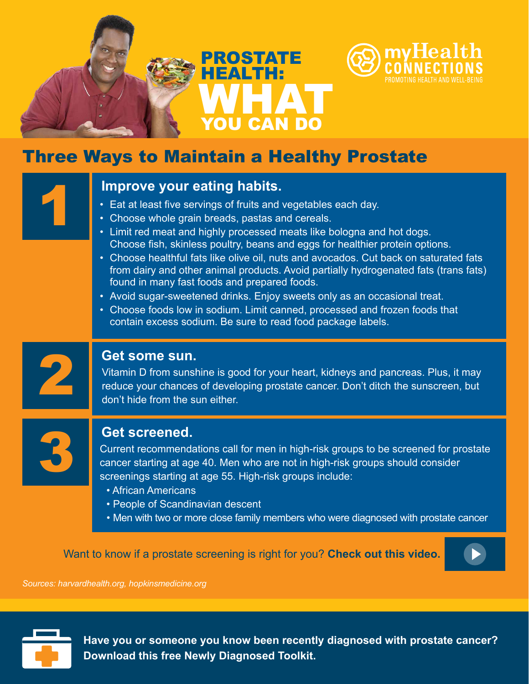

# Three Ways to Maintain a Healthy Prostate

- 
- Choose whole grain breads, pastas and cereals.
- Improve your eating habits.<br>
Eat at least five servings of fruits and vegetables each day.<br>
Choose whole grain breads, pastas and cereals.<br>
Limit red meat and highly processed meats like bologna and hot dogs. Choose fish, skinless poultry, beans and eggs for healthier protein options.
	- Choose healthful fats like olive oil, nuts and avocados. Cut back on saturated fats from dairy and other animal products. Avoid partially hydrogenated fats (trans fats) found in many fast foods and prepared foods.
	- Avoid sugar-sweetened drinks. Enjoy sweets only as an occasional treat.
	- Choose foods low in sodium. Limit canned, processed and frozen foods that contain excess sodium. Be sure to read food package labels.



**Get some sun.**<br>Vitamin D from sunshine is good for your heart, kidneys and pancreas. Plus, it may reduce your chances of developing prostate cancer. Don't ditch the sunscreen, but don't hide from the sun either.



## **Get screened.**

Current recommendations call for men in high-risk groups to be screened for prostate cancer starting at age 40. Men who are not in high-risk groups should consider screenings starting at age 55. High-risk groups include:

- African Americans
- People of Scandinavian descent
- Men with two or more close family members who were diagnosed with prostate cancer

Want to know if a prostate screening is right for you? **Check out this video.**



*Sources: harvardhealth.org, hopkinsmedicine.org*



**Have you or someone you know been recently diagnosed with prostate cancer? Download this free Newly Diagnosed Toolkit.**